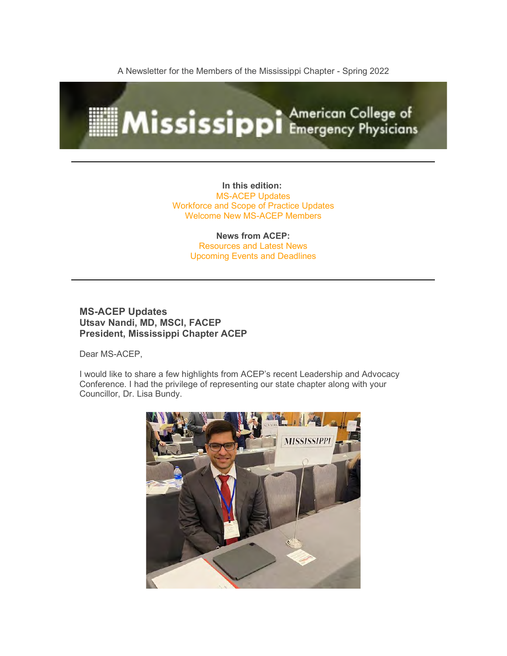A Newsletter for the Members of the Mississippi Chapter - Spring 2022



**In this edition:** MS-ACEP Updates Workforce and Scope of Practice Updates Welcome New MS-ACEP Members

> **News from ACEP:** Resources and Latest News Upcoming Events and Deadlines

### **MS-ACEP Updates Utsav Nandi, MD, MSCI, FACEP President, Mississippi Chapter ACEP**

Dear MS-ACEP,

I would like to share a few highlights from ACEP's recent Leadership and Advocacy Conference. I had the privilege of representing our state chapter along with your Councillor, Dr. Lisa Bundy.

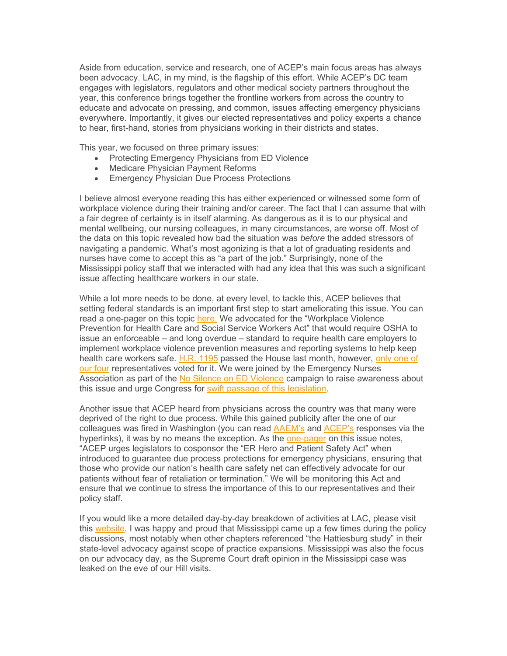Aside from education, service and research, one of ACEP's main focus areas has always been advocacy. LAC, in my mind, is the flagship of this effort. While ACEP's DC team engages with legislators, regulators and other medical society partners throughout the year, this conference brings together the frontline workers from across the country to educate and advocate on pressing, and common, issues affecting emergency physicians everywhere. Importantly, it gives our elected representatives and policy experts a chance to hear, first-hand, stories from physicians working in their districts and states.

This year, we focused on three primary issues:

- Protecting Emergency Physicians from ED Violence
- Medicare Physician Payment Reforms
- Emergency Physician Due Process Protections

I believe almost everyone reading this has either experienced or witnessed some form of workplace violence during their training and/or career. The fact that I can assume that with a fair degree of certainty is in itself alarming. As dangerous as it is to our physical and mental wellbeing, our nursing colleagues, in many circumstances, are worse off. Most of the data on this topic revealed how bad the situation was *before* the added stressors of navigating a pandemic. What's most agonizing is that a lot of graduating residents and nurses have come to accept this as "a part of the job." Surprisingly, none of the Mississippi policy staff that we interacted with had any idea that this was such a significant issue affecting healthcare workers in our state.

While a lot more needs to be done, at every level, to tackle this, ACEP believes that setting federal standards is an important first step to start ameliorating this issue. You can read a one-pager on this topic [here.](https://www.acep.org/globalassets/ed-workplace-violence-one-pager.pdf) We advocated for the "Workplace Violence Prevention for Health Care and Social Service Workers Act" that would require OSHA to issue an enforceable – and long overdue – standard to require health care employers to implement workplace violence prevention measures and reporting systems to help keep health care workers safe. [H.R. 1195](https://www.congress.gov/bill/117th-congress/house-bill/1195) passed the House last month, however, only one of [our four](https://clerk.house.gov/Votes/2021118) representatives voted for it. We were joined by the Emergency Nurses Association as part of the [No Silence on ED Violence](https://stopedviolence.org/) campaign to raise awareness about this issue and urge Congress for [swift passage of this legislation.](https://www.emergencyphysicians.org/press-releases/2022/5-4-22-acep-ena-push-for-swift-passage-of-workplace-violence-legislation)

Another issue that ACEP heard from physicians across the country was that many were deprived of the right to due process. While this gained publicity after the one of our colleagues was fired in Washington (you can read [AAEM's](https://www.aaem.org/resources/statements/position/firing-of-dr-ming-lin) and [ACEP's](https://www.emergencyphysicians.org/press-releases/2020/3-30-20-acep-strongly-supports-emergency-physicians-who-advocate-for-safer-working-conditions-amidst-pandemic) responses via the hyperlinks), it was by no means the exception. As the [one-pager](https://www.acep.org/globalassets/due-process-one-pager.pdf) on this issue notes, "ACEP urges legislators to cosponsor the "ER Hero and Patient Safety Act" when introduced to guarantee due process protections for emergency physicians, ensuring that those who provide our nation's health care safety net can effectively advocate for our patients without fear of retaliation or termination." We will be monitoring this Act and ensure that we continue to stress the importance of this to our representatives and their policy staff.

If you would like a more detailed day-by-day breakdown of activities at LAC, please visit this [website.](https://www.acep.org/home-page-redirects/latest-news/live-updates-from-the-2022-acep-leadership--advocacy-conference/) I was happy and proud that Mississippi came up a few times during the policy discussions, most notably when other chapters referenced "the Hattiesburg study" in their state-level advocacy against scope of practice expansions. Mississippi was also the focus on our advocacy day, as the Supreme Court draft opinion in the Mississippi case was leaked on the eve of our Hill visits.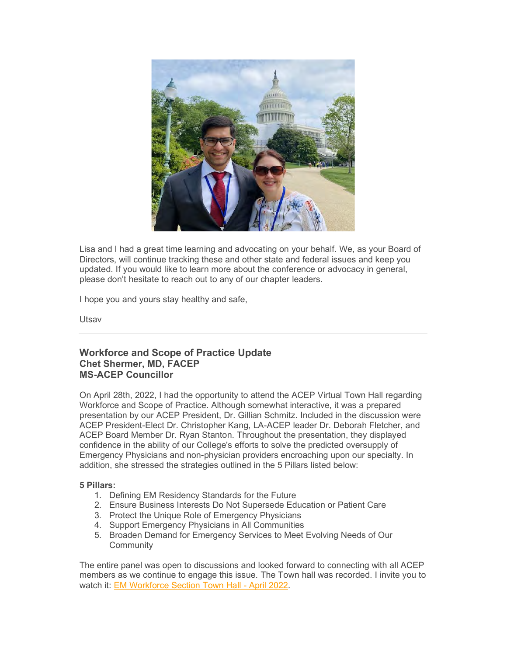

Lisa and I had a great time learning and advocating on your behalf. We, as your Board of Directors, will continue tracking these and other state and federal issues and keep you updated. If you would like to learn more about the conference or advocacy in general, please don't hesitate to reach out to any of our chapter leaders.

I hope you and yours stay healthy and safe,

Utsav

### **Workforce and Scope of Practice Update Chet Shermer, MD, FACEP MS-ACEP Councillor**

On April 28th, 2022, I had the opportunity to attend the ACEP Virtual Town Hall regarding Workforce and Scope of Practice. Although somewhat interactive, it was a prepared presentation by our ACEP President, Dr. Gillian Schmitz. Included in the discussion were ACEP President-Elect Dr. Christopher Kang, LA-ACEP leader Dr. Deborah Fletcher, and ACEP Board Member Dr. Ryan Stanton. Throughout the presentation, they displayed confidence in the ability of our College's efforts to solve the predicted oversupply of Emergency Physicians and non-physician providers encroaching upon our specialty. In addition, she stressed the strategies outlined in the 5 Pillars listed below:

#### **5 Pillars:**

- 1. Defining EM Residency Standards for the Future
- 2. Ensure Business Interests Do Not Supersede Education or Patient Care
- 3. Protect the Unique Role of Emergency Physicians
- 4. Support Emergency Physicians in All Communities
- 5. Broaden Demand for Emergency Services to Meet Evolving Needs of Our **Community**

The entire panel was open to discussions and looked forward to connecting with all ACEP members as we continue to engage this issue. The Town hall was recorded. I invite you to watch it: [EM Workforce Section Town Hall -](https://www.acep.org/life-as-a-physician/workforce/workforce-videos/workforce-minute-videos/em-workforce-section-town-hall---april-30-2022/) April 2022.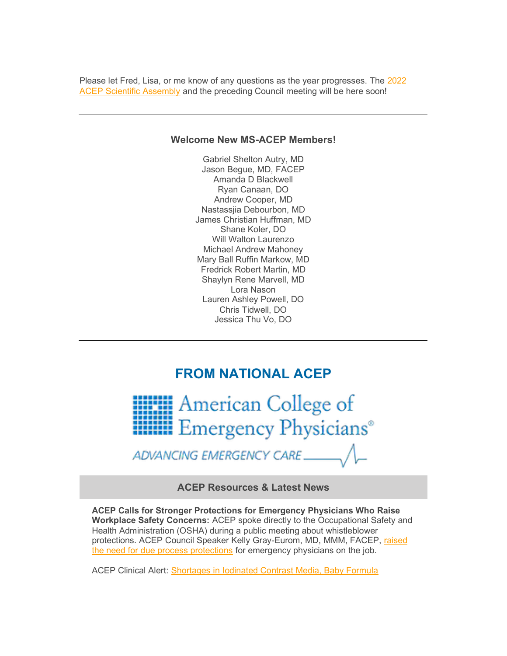Please let Fred, Lisa, or me know of any questions as the year progresses. The [2022](https://www.acep.org/acep22)  [ACEP Scientific Assembly](https://www.acep.org/acep22) and the preceding Council meeting will be here soon!

### **Welcome New MS-ACEP Members!**

Gabriel Shelton Autry, MD Jason Begue, MD, FACEP Amanda D Blackwell Ryan Canaan, DO Andrew Cooper, MD Nastassjia Debourbon, MD James Christian Huffman, MD Shane Koler, DO Will Walton Laurenzo Michael Andrew Mahoney Mary Ball Ruffin Markow, MD Fredrick Robert Martin, MD Shaylyn Rene Marvell, MD Lora Nason Lauren Ashley Powell, DO Chris Tidwell, DO Jessica Thu Vo, DO

# **FROM NATIONAL ACEP**



ADVANCING EMERGENCY CARE

**ACEP Resources & Latest News**

**ACEP Calls for Stronger Protections for Emergency Physicians Who Raise Workplace Safety Concerns:** ACEP spoke directly to the Occupational Safety and Health Administration (OSHA) during a public meeting about whistleblower protections. ACEP Council Speaker Kelly Gray-Eurom, MD, MMM, FACEP, raised [the need for due process protections](https://www.acep.org/home-page-redirects/latest-news/acep-calls-for-stronger-protections-for-emergency-physicians-who-raise-workplace-safety-concerns/) for emergency physicians on the job.

ACEP Clinical Alert: [Shortages in Iodinated Contrast Media, Baby Formula](https://www.acep.org/home-page-redirects/latest-news/clinical-alert-shortages-in-iodinated-contrast-media-baby-formula/)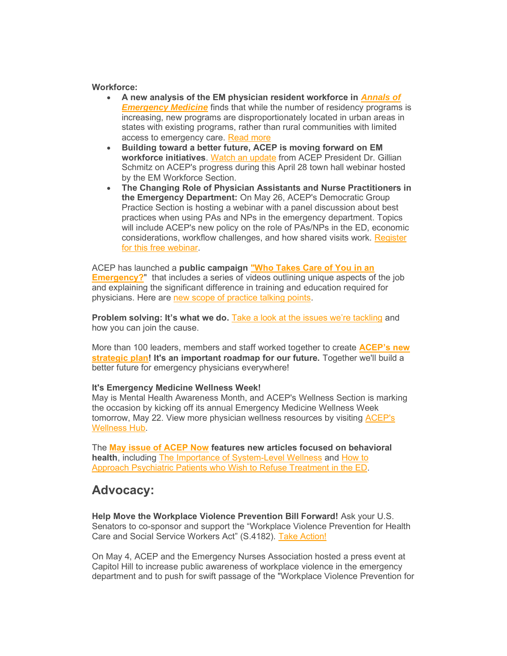#### **Workforce:**

- **A new analysis of the EM physician resident workforce in** *[Annals of](https://www.annemergmed.com/article/S0196-0644(22)00186-X/fulltext)  [Emergency Medicine](https://www.annemergmed.com/article/S0196-0644(22)00186-X/fulltext)* finds that while the number of residency programs is increasing, new programs are disproportionately located in urban areas in states with existing programs, rather than rural communities with limited access to emergency care. [Read more](https://www.emergencyphysicians.org/press-releases/2022/5-12-22-uneven-distribution-of-emergency-physician-residency-programs-can-impact-workforce-challenges-new-analysis-finds)
- **Building toward a better future, ACEP is moving forward on EM workforce initiatives**. [Watch an update](https://www.acep.org/life-as-a-physician/workforce/workforce-videos/workforce-minute-videos/em-workforce-section-town-hall---april-30-2022/) from ACEP President Dr. Gillian Schmitz on ACEP's progress during this April 28 town hall webinar hosted by the EM Workforce Section.
- **The Changing Role of Physician Assistants and Nurse Practitioners in the Emergency Department:** On May 26, ACEP's Democratic Group Practice Section is hosting a webinar with a panel discussion about best practices when using PAs and NPs in the emergency department. Topics will include ACEP's new policy on the role of PAs/NPs in the ED, economic considerations, workflow challenges, and how shared visits work. [Register](https://www.acep.org/master-calendar/the-changing-role-of-physician-assistants-and-nurse-practitioners-in-the-emergency-department/)  [for this free webinar.](https://www.acep.org/master-calendar/the-changing-role-of-physician-assistants-and-nurse-practitioners-in-the-emergency-department/)

ACEP has launched a **public campaign ["Who Takes Care of You in an](https://www.emergencyphysicians.org/article/er101/who-takes-care-of-you-in-an-emergency)  [Emergency?](https://www.emergencyphysicians.org/article/er101/who-takes-care-of-you-in-an-emergency)"** that includes a series of videos outlining unique aspects of the job and explaining the significant difference in training and education required for physicians. Here are [new scope of practice talking points.](https://www.acep.org/acep-media-hub/media-hub-articles/march-2022/scope-of-practice-talking-points/)

**Problem solving: It's what we do.** [Take a look at the issues we're tackling](https://www.acep.org/who-we-are/pulling-together-2021-annual-report/) and how you can join the cause.

More than 100 leaders, members and staff worked together to create **[ACEP's new](https://www.acep.org/strategicplan/)  [strategic plan!](https://www.acep.org/strategicplan/) It's an important roadmap for our future.** Together we'll build a better future for emergency physicians everywhere!

### **It's Emergency Medicine Wellness Week!**

May is Mental Health Awareness Month, and ACEP's Wellness Section is marking the occasion by kicking off its annual Emergency Medicine Wellness Week tomorrow, May 22. View more physician wellness resources by visiting [ACEP's](https://www.acep.org/wellness/)  [Wellness Hub.](https://www.acep.org/wellness/)

The **[May issue of](https://www.acepnow.com/issues/?issue=acep-now-vol-41-no-05-may-2022) ACEP Now features new articles focused on behavioral health**, including [The Importance of System-Level Wellness](https://www.acepnow.com/article/importance-of-system-level-wellness/) and [How to](https://www.acepnow.com/article/how-can-they-refuse/)  Approach [Psychiatric Patients who Wish to](https://www.acepnow.com/article/how-can-they-refuse/) Refuse Treatment in the ED.

# **Advocacy:**

**Help Move the Workplace Violence Prevention Bill Forward!** Ask your U.S. Senators to co-sponsor and support the "Workplace Violence Prevention for Health Care and Social Service Workers Act" (S.4182). [Take Action!](https://www.acep.org/federal-advocacy/federal-advocacy-overview/advocacy-action-center/)

On May 4, ACEP and the Emergency Nurses Association hosted a press event at Capitol Hill to increase public awareness of workplace violence in the emergency department and to push for swift passage of the "Workplace Violence Prevention for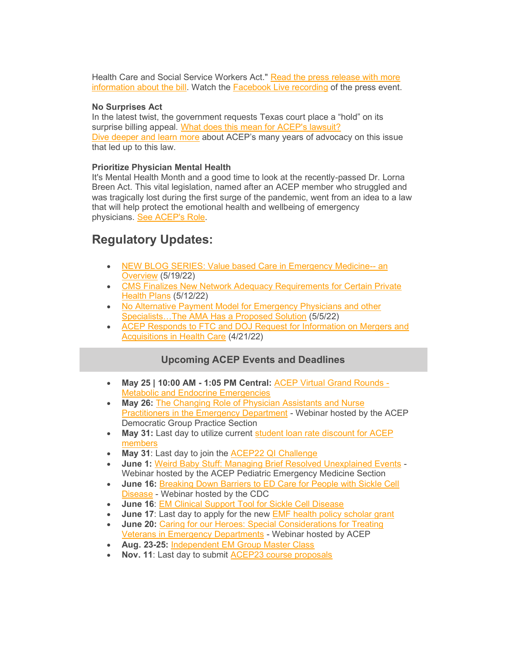Health Care and Social Service Workers Act." Read the press release with more [information about the bill.](http://sm1.multiview.com/t/gcH1AAkbaBPWNYQdQMBOmC0ZyEYsaY47UPZ2caaaaY47BRH4C4oaa?j=wXkdmema~25EqkSof.yhq~amp;T=wXkdmema~25EqkSof.yhq~amp;b=Ne~amp;7=) Watch the **[Facebook Live recording](https://www.facebook.com/watch/live/?extid=NS-UNK-UNK-UNK-IOS_GK0T-GK1C&ref=watch_permalink&v=354834690042755) of the press event.** 

### **No Surprises Act**

In the latest twist, the government requests Texas court place a "hold" on its surprise billing appeal. [What does this mean for ACEP's lawsuit?](https://www.emergencyphysicians.org/press-releases/2022/in-latest-twist-government-requests-texas-court-place-hold-on-its-surprise-billing-appeal) [Dive deeper and learn more](https://www.acep.org/federal-advocacy/federal-advocacy-overview/acep4u/acep4u-out-of-network/) about ACEP's many years of advocacy on this issue that led up to this law.

### **Prioritize Physician Mental Health**

It's Mental Health Month and a good time to look at the recently-passed Dr. Lorna Breen Act. This vital legislation, named after an ACEP member who struggled and was tragically lost during the first surge of the pandemic, went from an idea to a law that will help protect the emotional health and wellbeing of emergency physicians. [See ACEP's Role.](https://www.acep.org/federal-advocacy/mental-health/dr.-lorna-breen-health-care-provider-protection-act/)

# **Regulatory Updates:**

- [NEW BLOG SERIES: Value based Care in Emergency Medicine--](https://www.acep.org/federal-advocacy/federal-advocacy-overview/regs--eggs/regs--eggs-articles/regs--eggs---may-19-2022/) an [Overview](https://www.acep.org/federal-advocacy/federal-advocacy-overview/regs--eggs/regs--eggs-articles/regs--eggs---may-19-2022/) (5/19/22)
- [CMS Finalizes New Network Adequacy Requirements for Certain Private](https://www.acep.org/federal-advocacy/federal-advocacy-overview/regs--eggs/regs--eggs-articles/regs--eggs---may-12-2022/)  [Health Plans](https://www.acep.org/federal-advocacy/federal-advocacy-overview/regs--eggs/regs--eggs-articles/regs--eggs---may-12-2022/) (5/12/22)
- [No Alternative Payment Model for Emergency Physicians and other](https://www.acep.org/federal-advocacy/federal-advocacy-overview/regs--eggs/regs--eggs-articles/regs--eggs---may-5-2022/)  [Specialists…The AMA Has a Proposed Solution](https://www.acep.org/federal-advocacy/federal-advocacy-overview/regs--eggs/regs--eggs-articles/regs--eggs---may-5-2022/) (5/5/22)
- [ACEP Responds to FTC and DOJ Request for Information on Mergers and](https://www.acep.org/federal-advocacy/federal-advocacy-overview/regs--eggs/regs--eggs-articles/regs--eggs---april-21-2022/)  [Acquisitions in Health Care](https://www.acep.org/federal-advocacy/federal-advocacy-overview/regs--eggs/regs--eggs-articles/regs--eggs---april-21-2022/) (4/21/22)

## **Upcoming ACEP Events and Deadlines**

- **May 25 | 10:00 AM - 1:05 PM Central:** [ACEP Virtual Grand Rounds -](https://www.acep.org/education/cme/continuing-education/virtual-grand-rounds/) [Metabolic and Endocrine Emergencies](https://www.acep.org/education/cme/continuing-education/virtual-grand-rounds/)
- **May 26:** [The Changing Role of Physician Assistants and Nurse](https://www.acep.org/master-calendar/the-changing-role-of-physician-assistants-and-nurse-practitioners-in-the-emergency-department/)  [Practitioners in the Emergency Department](https://www.acep.org/master-calendar/the-changing-role-of-physician-assistants-and-nurse-practitioners-in-the-emergency-department/) - Webinar hosted by the ACEP Democratic Group Practice Section
- May 31: Last day to utilize current [student loan rate discount for](https://www.acep.org/membership/membership/benefits-of-membership/member-benefits/benefits-articles/sofi/) ACEP [members](https://www.acep.org/membership/membership/benefits-of-membership/member-benefits/benefits-articles/sofi/)
- **May 31**: Last day to join the [ACEP22 QI Challenge](https://www.acep.org/administration/quality/quality-article-pages/acep-qi-challenge/)
- **June 1:** [Weird Baby Stuff: Managing Brief Resolved Unexplained Events](https://www.acep.org/master-calendar/weird-baby-stuff-managing-brief-resolved-unexplained-events/) Webinar hosted by the ACEP Pediatric Emergency Medicine Section
- **June 16:** [Breaking Down Barriers to ED Care for People with Sickle Cell](https://www.acep.org/master-calendar/breaking-down-barriers-to-ed-care-for-people-with-sickle-cell-disease/)  [Disease](https://www.acep.org/master-calendar/breaking-down-barriers-to-ed-care-for-people-with-sickle-cell-disease/) - Webinar hosted by the CDC
- **June 16**: [EM Clinical Support Tool for Sickle Cell Disease](http://sickleecho.org/)
- **June 17:** Last day to apply for the new [EMF health policy scholar](https://www.emfoundation.org/grants/apply-for-a-grant/) grant
- **June 20:** [Caring for our Heroes: Special Considerations for Treating](https://www.acep.org/master-calendar/caring-for-our-heroes-special-considerations-for-treating-veterans-in-emergency-departments--/)  [Veterans in Emergency Departments](https://www.acep.org/master-calendar/caring-for-our-heroes-special-considerations-for-treating-veterans-in-emergency-departments--/) - Webinar hosted by ACEP
- **Aug. 23-25:** [Independent EM Group Master Class](https://www.acep.org/Indyclass)
- **Nov. 11**: Last day to submit [ACEP23 course proposals](https://www.acep.org/education/meetings/scientific-assembly-course-proposal-form/)